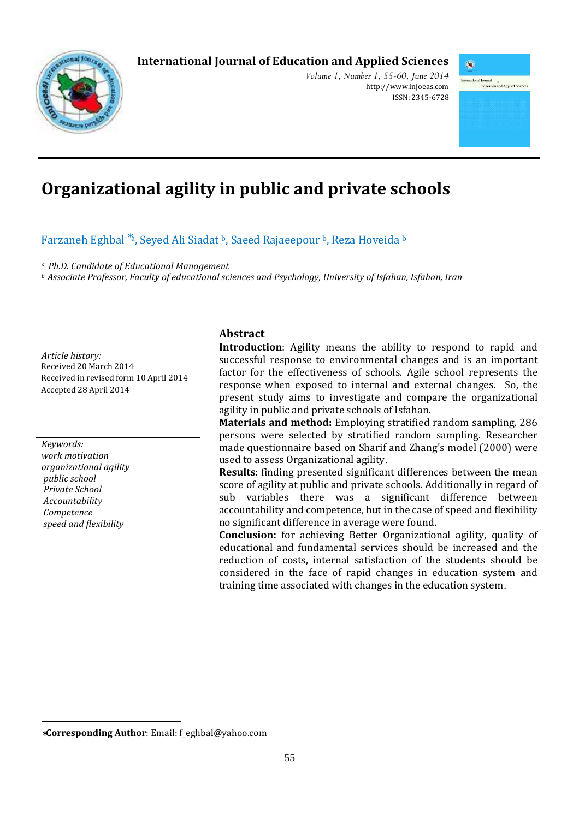# **International Journal of Education and Applied Sciences**



*Volume 1, Number 1, 55-60, June 2014*  http://www.injoeas.com ISSN: 2345-6728



# **Organizational agility in public and private schools**

## Farzaneh Eghbal <sup>\*a</sup>, Seyed Ali Siadat <sup>b</sup>, Saeed Rajaeepour <sup>b</sup>, Reza Hoveida <sup>b</sup>

*<sup>a</sup>Ph.D. Candidate of Educational Management* 

*<sup>b</sup>Associate Professor, Faculty of educational sciences and Psychology, University of Isfahan, Isfahan, Iran*

*Article history:*  Received 20 March 2014 Received in revised form 10 April 2014 Accepted 28 April 2014

*Keywords: work motivation organizational agility public school Private School Accountability Competence speed and flexibility* 

 $\overline{a}$ 

#### **Abstract**

**Introduction**: Agility means the ability to respond to rapid and successful response to environmental changes and is an important factor for the effectiveness of schools. Agile school represents the response when exposed to internal and external changes. So, the present study aims to investigate and compare the organizational agility in public and private schools of Isfahan.

**Materials and method:** Employing stratified random sampling, 286 persons were selected by stratified random sampling. Researcher made questionnaire based on Sharif and Zhang's model (2000) were used to assess Organizational agility.

**Results**: finding presented significant differences between the mean score of agility at public and private schools. Additionally in regard of sub variables there was a significant difference between accountability and competence, but in the case of speed and flexibility no significant difference in average were found.

**Conclusion:** for achieving Better Organizational agility, quality of educational and fundamental services should be increased and the reduction of costs, internal satisfaction of the students should be considered in the face of rapid changes in education system and training time associated with changes in the education system.

<sup>∗</sup>**Corresponding Author**: Email: f\_eghbal@yahoo.com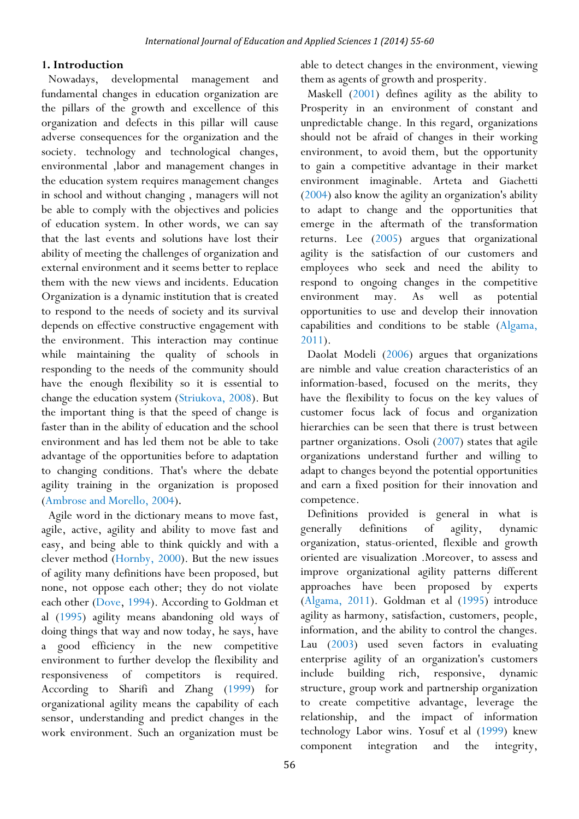#### **1. Introduction**

Nowadays, developmental management and fundamental changes in education organization are the pillars of the growth and excellence of this organization and defects in this pillar will cause adverse consequences for the organization and the society. technology and technological changes, environmental ,labor and management changes in the education system requires management changes in school and without changing , managers will not be able to comply with the objectives and policies of education system. In other words, we can say that the last events and solutions have lost their ability of meeting the challenges of organization and external environment and it seems better to replace them with the new views and incidents. Education Organization is a dynamic institution that is created to respond to the needs of society and its survival depends on effective constructive engagement with the environment. This interaction may continue while maintaining the quality of schools in responding to the needs of the community should have the enough flexibility so it is essential to change the education system (Striukova, 2008). But the important thing is that the speed of change is faster than in the ability of education and the school environment and has led them not be able to take advantage of the opportunities before to adaptation to changing conditions. That's where the debate agility training in the organization is proposed (Ambrose and Morello, 2004).

Agile word in the dictionary means to move fast, agile, active, agility and ability to move fast and easy, and being able to think quickly and with a clever method (Hornby, 2000). But the new issues of agility many definitions have been proposed, but none, not oppose each other; they do not violate each other (Dove, 1994). According to Goldman et al (1995) agility means abandoning old ways of doing things that way and now today, he says, have a good efficiency in the new competitive environment to further develop the flexibility and responsiveness of competitors is required. According to Sharifi and Zhang (1999) for organizational agility means the capability of each sensor, understanding and predict changes in the work environment. Such an organization must be

able to detect changes in the environment, viewing them as agents of growth and prosperity.

Maskell (2001) defines agility as the ability to Prosperity in an environment of constant and unpredictable change. In this regard, organizations should not be afraid of changes in their working environment, to avoid them, but the opportunity to gain a competitive advantage in their market environment imaginable. Arteta and Giachetti (2004) also know the agility an organization's ability to adapt to change and the opportunities that emerge in the aftermath of the transformation returns. Lee (2005) argues that organizational agility is the satisfaction of our customers and employees who seek and need the ability to respond to ongoing changes in the competitive environment may. As well as potential opportunities to use and develop their innovation capabilities and conditions to be stable (Algama, 2011).

Daolat Modeli (2006) argues that organizations are nimble and value creation characteristics of an information-based, focused on the merits, they have the flexibility to focus on the key values of customer focus lack of focus and organization hierarchies can be seen that there is trust between partner organizations. Osoli (2007) states that agile organizations understand further and willing to adapt to changes beyond the potential opportunities and earn a fixed position for their innovation and competence.

Definitions provided is general in what is generally definitions of agility, dynamic organization, status-oriented, flexible and growth oriented are visualization .Moreover, to assess and improve organizational agility patterns different approaches have been proposed by experts (Algama, 2011). Goldman et al (1995) introduce agility as harmony, satisfaction, customers, people, information, and the ability to control the changes. Lau (2003) used seven factors in evaluating enterprise agility of an organization's customers include building rich, responsive, dynamic structure, group work and partnership organization to create competitive advantage, leverage the relationship, and the impact of information technology Labor wins. Yosuf et al (1999) knew component integration and the integrity,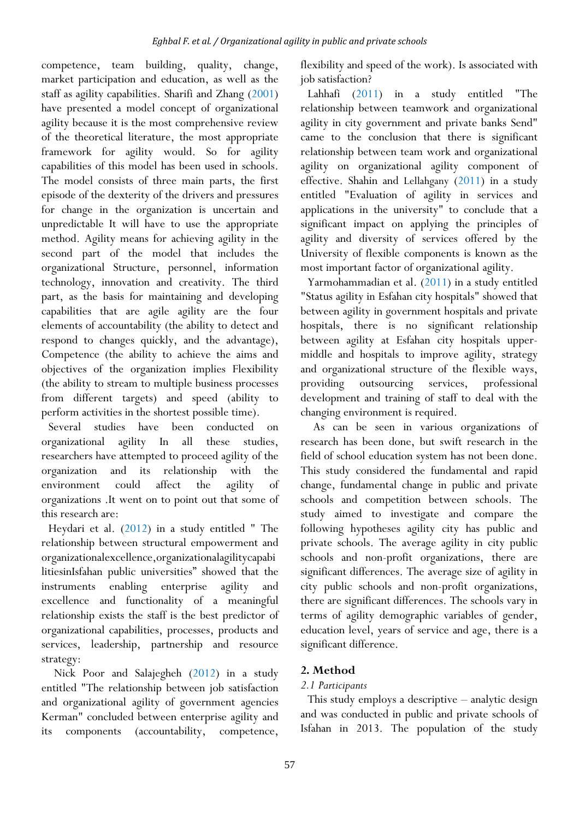competence, team building, quality, change, market participation and education, as well as the staff as agility capabilities. Sharifi and Zhang (2001) have presented a model concept of organizational agility because it is the most comprehensive review of the theoretical literature, the most appropriate framework for agility would. So for agility capabilities of this model has been used in schools. The model consists of three main parts, the first episode of the dexterity of the drivers and pressures for change in the organization is uncertain and unpredictable It will have to use the appropriate method. Agility means for achieving agility in the second part of the model that includes the organizational Structure, personnel, information technology, innovation and creativity. The third part, as the basis for maintaining and developing capabilities that are agile agility are the four elements of accountability (the ability to detect and respond to changes quickly, and the advantage), Competence (the ability to achieve the aims and objectives of the organization implies Flexibility (the ability to stream to multiple business processes from different targets) and speed (ability to perform activities in the shortest possible time).

Several studies have been conducted on organizational agility In all these studies, researchers have attempted to proceed agility of the organization and its relationship with the environment could affect the agility of organizations .It went on to point out that some of this research are:

Heydari et al. (2012) in a study entitled " The relationship between structural empowerment and organizationalexcellence,organizationalagilitycapabi litiesinIsfahan public universities" showed that the instruments enabling enterprise agility and excellence and functionality of a meaningful relationship exists the staff is the best predictor of organizational capabilities, processes, products and services, leadership, partnership and resource strategy:

 Nick Poor and Salajegheh (2012) in a study entitled "The relationship between job satisfaction and organizational agility of government agencies Kerman" concluded between enterprise agility and its components (accountability, competence,

flexibility and speed of the work). Is associated with job satisfaction?

Lahhafi (2011) in a study entitled "The relationship between teamwork and organizational agility in city government and private banks Send" came to the conclusion that there is significant relationship between team work and organizational agility on organizational agility component of effective. Shahin and Lellahgany (2011) in a study entitled "Evaluation of agility in services and applications in the university" to conclude that a significant impact on applying the principles of agility and diversity of services offered by the University of flexible components is known as the most important factor of organizational agility.

Yarmohammadian et al. (2011) in a study entitled "Status agility in Esfahan city hospitals" showed that between agility in government hospitals and private hospitals, there is no significant relationship between agility at Esfahan city hospitals uppermiddle and hospitals to improve agility, strategy and organizational structure of the flexible ways, providing outsourcing services, professional development and training of staff to deal with the changing environment is required.

 As can be seen in various organizations of research has been done, but swift research in the field of school education system has not been done. This study considered the fundamental and rapid change, fundamental change in public and private schools and competition between schools. The study aimed to investigate and compare the following hypotheses agility city has public and private schools. The average agility in city public schools and non-profit organizations, there are significant differences. The average size of agility in city public schools and non-profit organizations, there are significant differences. The schools vary in terms of agility demographic variables of gender, education level, years of service and age, there is a significant difference.

# **2. Method**

### *2.1 Participants*

This study employs a descriptive – analytic design and was conducted in public and private schools of Isfahan in 2013. The population of the study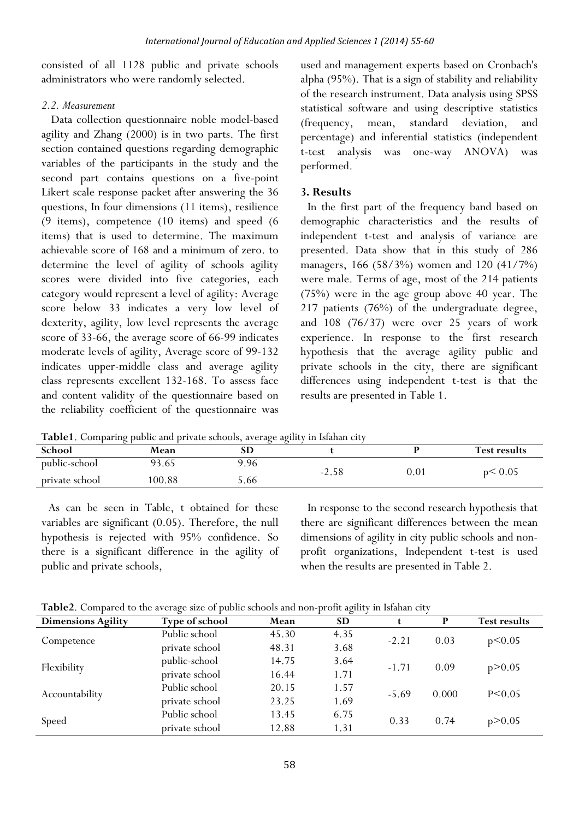consisted of all 1128 public and private schools administrators who were randomly selected.

#### *2.2. Measurement*

 Data collection questionnaire noble model-based agility and Zhang (2000) is in two parts. The first section contained questions regarding demographic variables of the participants in the study and the second part contains questions on a five-point Likert scale response packet after answering the 36 questions, In four dimensions (11 items), resilience (9 items), competence (10 items) and speed (6 items) that is used to determine. The maximum achievable score of 168 and a minimum of zero. to determine the level of agility of schools agility scores were divided into five categories, each category would represent a level of agility: Average score below 33 indicates a very low level of dexterity, agility, low level represents the average score of 33-66, the average score of 66-99 indicates moderate levels of agility, Average score of 99-132 indicates upper-middle class and average agility class represents excellent 132-168. To assess face and content validity of the questionnaire based on the reliability coefficient of the questionnaire was used and management experts based on Cronbach's alpha (95%). That is a sign of stability and reliability of the research instrument. Data analysis using SPSS statistical software and using descriptive statistics (frequency, mean, standard deviation, and percentage) and inferential statistics (independent t-test analysis was one-way ANOVA) was performed.

### **3. Results**

In the first part of the frequency band based on demographic characteristics and the results of independent t-test and analysis of variance are presented. Data show that in this study of 286 managers, 166 (58/3%) women and 120 (41/7%) were male. Terms of age, most of the 214 patients (75%) were in the age group above 40 year. The 217 patients (76%) of the undergraduate degree, and 108 (76/37) were over 25 years of work experience. In response to the first research hypothesis that the average agility public and private schools in the city, there are significant differences using independent t-test is that the results are presented in Table 1.

**Table1**. Comparing public and private schools, average agility in Isfahan city

| -- --------------<br>----------------<br>.<br>------------<br>------------------- |       |      |         |          |                     |  |  |
|-----------------------------------------------------------------------------------|-------|------|---------|----------|---------------------|--|--|
| School                                                                            | Mean  | SD   |         |          | <b>Test results</b> |  |  |
| public-school                                                                     | 93.65 | 9.96 | $-2.58$ | $0.01\,$ | p< 0.05             |  |  |
| private school                                                                    | 00.88 | 5.66 |         |          |                     |  |  |

As can be seen in Table, t obtained for these variables are significant (0.05). Therefore, the null hypothesis is rejected with 95% confidence. So there is a significant difference in the agility of public and private schools,

In response to the second research hypothesis that there are significant differences between the mean dimensions of agility in city public schools and nonprofit organizations, Independent t-test is used when the results are presented in Table 2.

**Table2**. Compared to the average size of public schools and non-profit agility in Isfahan city

| <b>Dimensions Agility</b> | Type of school | Mean  | <b>SD</b> |         | P     | <b>Test results</b> |
|---------------------------|----------------|-------|-----------|---------|-------|---------------------|
|                           | Public school  | 45.30 | 4.35      | $-2.21$ | 0.03  | p<0.05              |
| Competence                | private school | 48.31 | 3.68      |         |       |                     |
| Flexibility               | public-school  | 14.75 | 3.64      | $-1.71$ | 0.09  | p > 0.05            |
|                           | private school | 16.44 | 1.71      |         |       |                     |
| Accountability            | Public school  | 20.15 | 1.57      | $-5.69$ | 0.000 | $P \le 0.05$        |
|                           | private school | 23.25 | 1.69      |         |       |                     |
|                           | Public school  | 13.45 | 6.75      | 0.33    | 0.74  | p > 0.05            |
| Speed                     | private school | 12.88 | 1.31      |         |       |                     |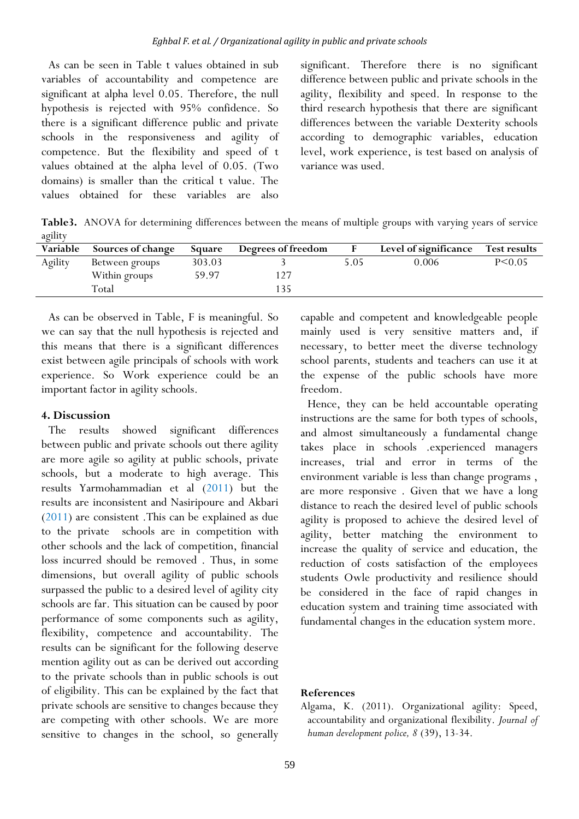As can be seen in Table t values obtained in sub variables of accountability and competence are significant at alpha level 0.05. Therefore, the null hypothesis is rejected with 95% confidence. So there is a significant difference public and private schools in the responsiveness and agility of competence. But the flexibility and speed of t values obtained at the alpha level of 0.05. (Two domains) is smaller than the critical t value. The values obtained for these variables are also

significant. Therefore there is no significant difference between public and private schools in the agility, flexibility and speed. In response to the third research hypothesis that there are significant differences between the variable Dexterity schools according to demographic variables, education level, work experience, is test based on analysis of variance was used.

**Table3.** ANOVA for determining differences between the means of multiple groups with varying years of service agility

| Variable | <b>Sources of change</b> | Square | Degrees of freedom |      | Level of significance | <b>Test results</b> |
|----------|--------------------------|--------|--------------------|------|-----------------------|---------------------|
| Agility  | Between groups           | 303.03 |                    | 5.05 | 0.006                 | $P \le 0.05$        |
|          | Within groups            | 59.97  |                    |      |                       |                     |
|          | Total                    |        | 135                |      |                       |                     |

As can be observed in Table, F is meaningful. So we can say that the null hypothesis is rejected and this means that there is a significant differences exist between agile principals of schools with work experience. So Work experience could be an important factor in agility schools.

#### **4. Discussion**

The results showed significant differences between public and private schools out there agility are more agile so agility at public schools, private schools, but a moderate to high average. This results Yarmohammadian et al (2011) but the results are inconsistent and Nasiripoure and Akbari (2011) are consistent .This can be explained as due to the private schools are in competition with other schools and the lack of competition, financial loss incurred should be removed . Thus, in some dimensions, but overall agility of public schools surpassed the public to a desired level of agility city schools are far. This situation can be caused by poor performance of some components such as agility, flexibility, competence and accountability. The results can be significant for the following deserve mention agility out as can be derived out according to the private schools than in public schools is out of eligibility. This can be explained by the fact that private schools are sensitive to changes because they are competing with other schools. We are more sensitive to changes in the school, so generally

capable and competent and knowledgeable people mainly used is very sensitive matters and, if necessary, to better meet the diverse technology school parents, students and teachers can use it at the expense of the public schools have more freedom.

Hence, they can be held accountable operating instructions are the same for both types of schools, and almost simultaneously a fundamental change takes place in schools .experienced managers increases, trial and error in terms of the environment variable is less than change programs , are more responsive . Given that we have a long distance to reach the desired level of public schools agility is proposed to achieve the desired level of agility, better matching the environment to increase the quality of service and education, the reduction of costs satisfaction of the employees students Owle productivity and resilience should be considered in the face of rapid changes in education system and training time associated with fundamental changes in the education system more.

#### **References**

Algama, K. (2011). Organizational agility: Speed, accountability and organizational flexibility. *Journal of human development police, 8* (39), 13-34.